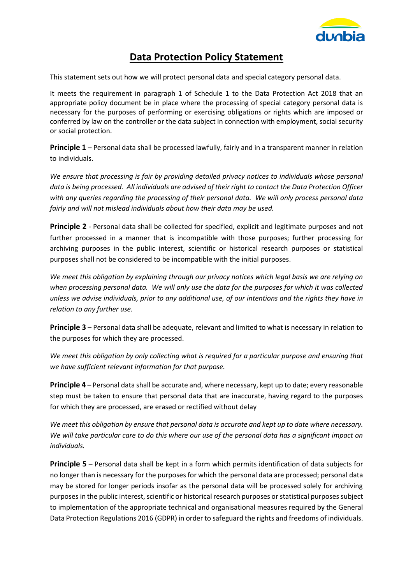

## **Data Protection Policy Statement**

This statement sets out how we will protect personal data and special category personal data.

It meets the requirement in paragraph 1 of Schedule 1 to the Data Protection Act 2018 that an appropriate policy document be in place where the processing of special category personal data is necessary for the purposes of performing or exercising obligations or rights which are imposed or conferred by law on the controller or the data subject in connection with employment, social security or social protection.

**Principle 1** – Personal data shall be processed lawfully, fairly and in a transparent manner in relation to individuals.

*We ensure that processing is fair by providing detailed privacy notices to individuals whose personal data is being processed. All individuals are advised of their right to contact the Data Protection Officer with any queries regarding the processing of their personal data. We will only process personal data fairly and will not mislead individuals about how their data may be used.*

**Principle 2** - Personal data shall be collected for specified, explicit and legitimate purposes and not further processed in a manner that is incompatible with those purposes; further processing for archiving purposes in the public interest, scientific or historical research purposes or statistical purposes shall not be considered to be incompatible with the initial purposes.

*We meet this obligation by explaining through our privacy notices which legal basis we are relying on when processing personal data. We will only use the data for the purposes for which it was collected unless we advise individuals, prior to any additional use, of our intentions and the rights they have in relation to any further use.*

**Principle 3** – Personal data shall be adequate, relevant and limited to what is necessary in relation to the purposes for which they are processed.

*We meet this obligation by only collecting what is required for a particular purpose and ensuring that we have sufficient relevant information for that purpose.*

**Principle 4** – Personal data shall be accurate and, where necessary, kept up to date; every reasonable step must be taken to ensure that personal data that are inaccurate, having regard to the purposes for which they are processed, are erased or rectified without delay

*We meet this obligation by ensure that personal data is accurate and kept up to date where necessary. We will take particular care to do this where our use of the personal data has a significant impact on individuals.*

**Principle 5** – Personal data shall be kept in a form which permits identification of data subjects for no longer than is necessary for the purposes for which the personal data are processed; personal data may be stored for longer periods insofar as the personal data will be processed solely for archiving purposes in the public interest, scientific or historical research purposes or statistical purposes subject to implementation of the appropriate technical and organisational measures required by the General Data Protection Regulations 2016 (GDPR) in order to safeguard the rights and freedoms of individuals.